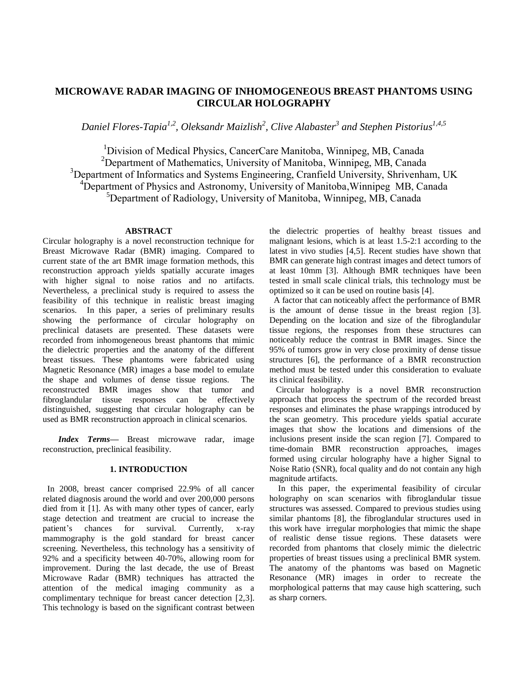# **MICROWAVE RADAR IMAGING OF INHOMOGENEOUS BREAST PHANTOMS USING CIRCULAR HOLOGRAPHY**

*Daniel Flores-Tapia1,2, Oleksandr Maizlish<sup>2</sup> , Clive Alabaster<sup>3</sup> and Stephen Pistorius 1,4,5*

<sup>1</sup>Division of Medical Physics, CancerCare Manitoba, Winnipeg, MB, Canada <sup>2</sup>Department of Mathematics, University of Manitoba, Winnipeg, MB, Canada <sup>3</sup>Department of Informatics and Systems Engineering, Cranfield University, Shrivenham, UK <sup>4</sup>Department of Physics and Astronomy, University of Manitoba, Winnipeg MB, Canada <sup>5</sup>Department of Radiology, University of Manitoba, Winnipeg, MB, Canada

## **ABSTRACT**

Circular holography is a novel reconstruction technique for Breast Microwave Radar (BMR) imaging. Compared to current state of the art BMR image formation methods, this reconstruction approach yields spatially accurate images with higher signal to noise ratios and no artifacts. Nevertheless, a preclinical study is required to assess the feasibility of this technique in realistic breast imaging scenarios. In this paper, a series of preliminary results showing the performance of circular holography on preclinical datasets are presented. These datasets were recorded from inhomogeneous breast phantoms that mimic the dielectric properties and the anatomy of the different breast tissues. These phantoms were fabricated using Magnetic Resonance (MR) images a base model to emulate the shape and volumes of dense tissue regions. The reconstructed BMR images show that tumor and fibroglandular tissue responses can be effectively distinguished, suggesting that circular holography can be used as BMR reconstruction approach in clinical scenarios.

*Index Terms—* Breast microwave radar, image reconstruction, preclinical feasibility.

## **1. INTRODUCTION**

In 2008, breast cancer comprised 22.9% of all cancer related diagnosis around the world and over 200,000 persons died from it [1]. As with many other types of cancer, early stage detection and treatment are crucial to increase the patient's chances for survival. Currently, x-ray mammography is the gold standard for breast cancer screening. Nevertheless, this technology has a sensitivity of 92% and a specificity between 40-70%, allowing room for improvement. During the last decade, the use of Breast Microwave Radar (BMR) techniques has attracted the attention of the medical imaging community as a complimentary technique for breast cancer detection [2,3]. This technology is based on the significant contrast between the dielectric properties of healthy breast tissues and malignant lesions, which is at least 1.5-2:1 according to the latest in vivo studies [4,5]. Recent studies have shown that BMR can generate high contrast images and detect tumors of at least 10mm [3]. Although BMR techniques have been tested in small scale clinical trials, this technology must be optimized so it can be used on routine basis [4].

A factor that can noticeably affect the performance of BMR is the amount of dense tissue in the breast region [3]. Depending on the location and size of the fibroglandular tissue regions, the responses from these structures can noticeably reduce the contrast in BMR images. Since the 95% of tumors grow in very close proximity of dense tissue structures [6], the performance of a BMR reconstruction method must be tested under this consideration to evaluate its clinical feasibility.

 Circular holography is a novel BMR reconstruction approach that process the spectrum of the recorded breast responses and eliminates the phase wrappings introduced by the scan geometry. This procedure yields spatial accurate images that show the locations and dimensions of the inclusions present inside the scan region [7]. Compared to time-domain BMR reconstruction approaches, images formed using circular holography have a higher Signal to Noise Ratio (SNR), focal quality and do not contain any high magnitude artifacts.

 In this paper, the experimental feasibility of circular holography on scan scenarios with fibroglandular tissue structures was assessed. Compared to previous studies using similar phantoms [8], the fibroglandular structures used in this work have irregular morphologies that mimic the shape of realistic dense tissue regions. These datasets were recorded from phantoms that closely mimic the dielectric properties of breast tissues using a preclinical BMR system. The anatomy of the phantoms was based on Magnetic Resonance (MR) images in order to recreate the morphological patterns that may cause high scattering, such as sharp corners.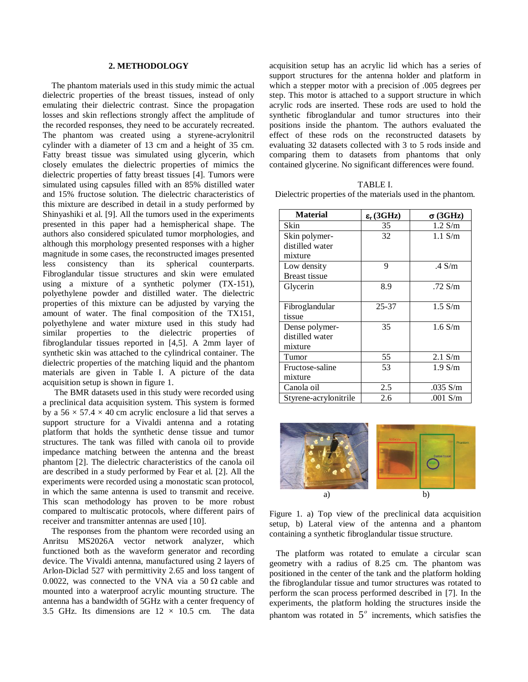#### **2. METHODOLOGY**

 The phantom materials used in this study mimic the actual dielectric properties of the breast tissues, instead of only emulating their dielectric contrast. Since the propagation losses and skin reflections strongly affect the amplitude of the recorded responses, they need to be accurately recreated. The phantom was created using a styrene-acrylonitril cylinder with a diameter of 13 cm and a height of 35 cm. Fatty breast tissue was simulated using glycerin, which closely emulates the dielectric properties of mimics the dielectric properties of fatty breast tissues [4]. Tumors were simulated using capsules filled with an 85% distilled water and 15% fructose solution. The dielectric characteristics of this mixture are described in detail in a study performed by Shinyashiki et al. [9]. All the tumors used in the experiments presented in this paper had a hemispherical shape. The authors also considered spiculated tumor morphologies, and although this morphology presented responses with a higher magnitude in some cases, the reconstructed images presented less consistency than its spherical counterparts. Fibroglandular tissue structures and skin were emulated using a mixture of a synthetic polymer (TX-151), polyethylene powder and distilled water. The dielectric properties of this mixture can be adjusted by varying the amount of water. The final composition of the TX151, polyethylene and water mixture used in this study had similar properties to the dielectric properties of fibroglandular tissues reported in [4,5]. A 2mm layer of synthetic skin was attached to the cylindrical container. The dielectric properties of the matching liquid and the phantom materials are given in Table I. A picture of the data acquisition setup is shown in figure 1.

The BMR datasets used in this study were recorded using a preclinical data acquisition system. This system is formed by a  $56 \times 57.4 \times 40$  cm acrylic enclosure a lid that serves a support structure for a Vivaldi antenna and a rotating platform that holds the synthetic dense tissue and tumor structures. The tank was filled with canola oil to provide impedance matching between the antenna and the breast phantom [2]. The dielectric characteristics of the canola oil are described in a study performed by Fear et al. [2]. All the experiments were recorded using a monostatic scan protocol, in which the same antenna is used to transmit and receive. This scan methodology has proven to be more robust compared to multiscatic protocols, where different pairs of receiver and transmitter antennas are used [10].

 The responses from the phantom were recorded using an Anritsu MS2026A vector network analyzer, which functioned both as the waveform generator and recording device. The Vivaldi antenna, manufactured using 2 layers of Arlon-Diclad 527 with permittivity 2.65 and loss tangent of 0.0022, was connected to the VNA via a 50  $\Omega$  cable and mounted into a waterproof acrylic mounting structure. The antenna has a bandwidth of 5GHz with a center frequency of 3.5 GHz. Its dimensions are  $12 \times 10.5$  cm. The data

acquisition setup has an acrylic lid which has a series of support structures for the antenna holder and platform in which a stepper motor with a precision of .005 degrees per step. This motor is attached to a support structure in which acrylic rods are inserted. These rods are used to hold the synthetic fibroglandular and tumor structures into their positions inside the phantom. The authors evaluated the effect of these rods on the reconstructed datasets by evaluating 32 datasets collected with 3 to 5 rods inside and comparing them to datasets from phantoms that only contained glycerine. No significant differences were found.

| TABLE I.                                                    |
|-------------------------------------------------------------|
| Dielectric properties of the materials used in the phantom. |

| <b>Material</b>       | $\epsilon_{\rm r}$ (3GHz) | $\sigma$ (3GHz) |
|-----------------------|---------------------------|-----------------|
| Skin                  | 35                        | $1.2$ S/m       |
| Skin polymer-         | 32                        | $1.1$ S/m       |
| distilled water       |                           |                 |
| mixture               |                           |                 |
| Low density           | 9                         | $.4$ S/m        |
| <b>Breast tissue</b>  |                           |                 |
| Glycerin              | 8.9                       | .72 $S/m$       |
|                       |                           |                 |
| Fibroglandular        | $25 - 37$                 | $1.5$ S/m       |
| tissue                |                           |                 |
| Dense polymer-        | 35                        | $1.6$ S/m       |
| distilled water       |                           |                 |
| mixture               |                           |                 |
| Tumor                 | 55                        | $2.1$ S/m       |
| Fructose-saline       | 53                        | $1.9$ S/m       |
| mixture               |                           |                 |
| Canola oil            | 2.5                       | .035 S/m        |
| Styrene-acrylonitrile | 2.6                       | .001 $S/m$      |



Figure 1. a) Top view of the preclinical data acquisition setup, b) Lateral view of the antenna and a phantom containing a synthetic fibroglandular tissue structure.

 The platform was rotated to emulate a circular scan geometry with a radius of 8.25 cm. The phantom was positioned in the center of the tank and the platform holding the fibroglandular tissue and tumor structures was rotated to perform the scan process performed described in [7]. In the experiments, the platform holding the structures inside the phantom was rotated in  $5^\circ$  increments, which satisfies the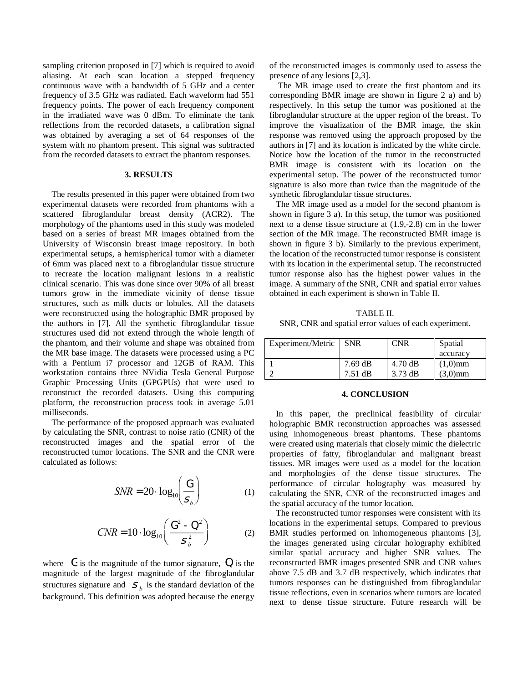sampling criterion proposed in [7] which is required to avoid aliasing. At each scan location a stepped frequency continuous wave with a bandwidth of 5 GHz and a center frequency of 3.5 GHz was radiated. Each waveform had 551 frequency points. The power of each frequency component in the irradiated wave was 0 dBm. To eliminate the tank reflections from the recorded datasets, a calibration signal was obtained by averaging a set of 64 responses of the system with no phantom present. This signal was subtracted from the recorded datasets to extract the phantom responses.

## **3. RESULTS**

 The results presented in this paper were obtained from two experimental datasets were recorded from phantoms with a scattered fibroglandular breast density (ACR2). The morphology of the phantoms used in this study was modeled based on a series of breast MR images obtained from the University of Wisconsin breast image repository. In both experimental setups, a hemispherical tumor with a diameter of 6mm was placed next to a fibroglandular tissue structure to recreate the location malignant lesions in a realistic clinical scenario. This was done since over 90% of all breast tumors grow in the immediate vicinity of dense tissue structures, such as milk ducts or lobules. All the datasets were reconstructed using the holographic BMR proposed by the authors in [7]. All the synthetic fibroglandular tissue structures used did not extend through the whole length of the phantom, and their volume and shape was obtained from the MR base image. The datasets were processed using a PC with a Pentium i7 processor and 12GB of RAM. This workstation contains three NVidia Tesla General Purpose Graphic Processing Units (GPGPUs) that were used to reconstruct the recorded datasets. Using this computing platform, the reconstruction process took in average 5.01 milliseconds.

 The performance of the proposed approach was evaluated by calculating the SNR, contrast to noise ratio (CNR) of the reconstructed images and the spatial error of the reconstructed tumor locations. The SNR and the CNR were calculated as follows:

$$
SNR = 20 \cdot \log_{10} \left( \frac{G}{S_b} \right) \tag{1}
$$

$$
CNR = 10 \cdot \log_{10} \left( \frac{G^2 - Q^2}{S_b^2} \right) \tag{2}
$$

where G is the magnitude of the tumor signature, Q is the magnitude of the largest magnitude of the fibroglandular structures signature and  $S_b$  is the standard deviation of the background. This definition was adopted because the energy

of the reconstructed images is commonly used to assess the presence of any lesions [2,3].

 The MR image used to create the first phantom and its corresponding BMR image are shown in figure 2 a) and b) respectively. In this setup the tumor was positioned at the fibroglandular structure at the upper region of the breast. To improve the visualization of the BMR image, the skin response was removed using the approach proposed by the authors in [7] and its location is indicated by the white circle. Notice how the location of the tumor in the reconstructed BMR image is consistent with its location on the experimental setup. The power of the reconstructed tumor signature is also more than twice than the magnitude of the synthetic fibroglandular tissue structures.

 The MR image used as a model for the second phantom is shown in figure 3 a). In this setup, the tumor was positioned next to a dense tissue structure at (1.9,-2.8) cm in the lower section of the MR image. The reconstructed BMR image is shown in figure 3 b). Similarly to the previous experiment, the location of the reconstructed tumor response is consistent with its location in the experimental setup. The reconstructed tumor response also has the highest power values in the image. A summary of the SNR, CNR and spatial error values obtained in each experiment is shown in Table II.

TABLE II. SNR, CNR and spatial error values of each experiment.

| Experiment/Metric | <b>SNR</b> | CNR               | Spatial    |
|-------------------|------------|-------------------|------------|
|                   |            |                   | accuracy   |
|                   | $7.69$ dB  | $4.70 \text{ dB}$ | $(1,0)$ mm |
|                   | $7.51$ dB  | $3.73 \text{ dB}$ | $(3,0)$ mm |

### **4. CONCLUSION**

 In this paper, the preclinical feasibility of circular holographic BMR reconstruction approaches was assessed using inhomogeneous breast phantoms. These phantoms were created using materials that closely mimic the dielectric properties of fatty, fibroglandular and malignant breast tissues. MR images were used as a model for the location and morphologies of the dense tissue structures. The performance of circular holography was measured by calculating the SNR, CNR of the reconstructed images and the spatial accuracy of the tumor location.

 The reconstructed tumor responses were consistent with its locations in the experimental setups. Compared to previous BMR studies performed on inhomogeneous phantoms [3], the images generated using circular holography exhibited similar spatial accuracy and higher SNR values. The reconstructed BMR images presented SNR and CNR values above 7.5 dB and 3.7 dB respectively, which indicates that tumors responses can be distinguished from fibroglandular tissue reflections, even in scenarios where tumors are located next to dense tissue structure. Future research will be